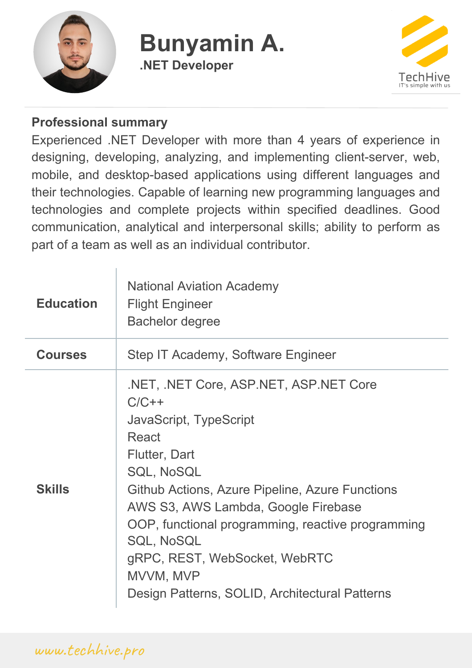

## **Bunyamin A. .NET Developer**



#### **Professional summary**

Experienced .NET Developer with more than 4 years of experience in designing, developing, analyzing, and implementing client-server, web, mobile, and desktop-based applications using different languages and their technologies. Capable of learning new programming languages and technologies and complete projects within specified deadlines. Good communication, analytical and interpersonal skills; ability to perform as part of a team as well as an individual contributor.

| <b>Education</b> | <b>National Aviation Academy</b><br><b>Flight Engineer</b><br><b>Bachelor degree</b>                                                                                                                                                                                                                                                                                                                         |
|------------------|--------------------------------------------------------------------------------------------------------------------------------------------------------------------------------------------------------------------------------------------------------------------------------------------------------------------------------------------------------------------------------------------------------------|
| <b>Courses</b>   | Step IT Academy, Software Engineer                                                                                                                                                                                                                                                                                                                                                                           |
| <b>Skills</b>    | .NET, .NET Core, ASP.NET, ASP.NET Core<br>$C/C++$<br>JavaScript, TypeScript<br><b>React</b><br><b>Flutter, Dart</b><br><b>SQL, NoSQL</b><br>Github Actions, Azure Pipeline, Azure Functions<br>AWS S3, AWS Lambda, Google Firebase<br>OOP, functional programming, reactive programming<br><b>SQL, NoSQL</b><br>gRPC, REST, WebSocket, WebRTC<br>MVVM, MVP<br>Design Patterns, SOLID, Architectural Patterns |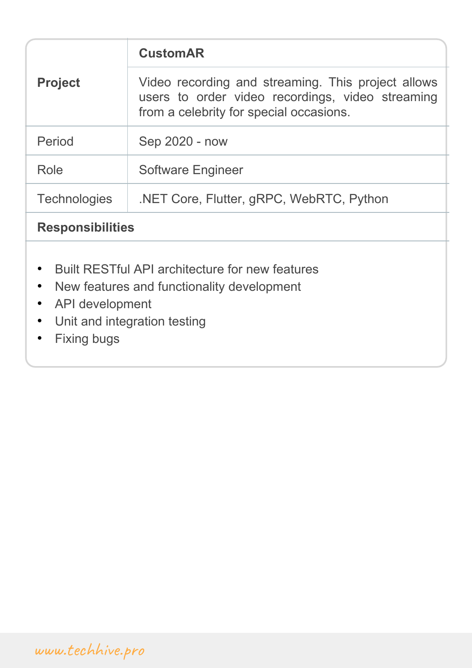| <b>Project</b>                                                                                                                                                                                       | <b>CustomAR</b>                                                                                                                                   |  |
|------------------------------------------------------------------------------------------------------------------------------------------------------------------------------------------------------|---------------------------------------------------------------------------------------------------------------------------------------------------|--|
|                                                                                                                                                                                                      | Video recording and streaming. This project allows<br>users to order video recordings, video streaming<br>from a celebrity for special occasions. |  |
| Period                                                                                                                                                                                               | Sep 2020 - now                                                                                                                                    |  |
| Role                                                                                                                                                                                                 | <b>Software Engineer</b>                                                                                                                          |  |
| <b>Technologies</b>                                                                                                                                                                                  | .NET Core, Flutter, gRPC, WebRTC, Python                                                                                                          |  |
| <b>Responsibilities</b>                                                                                                                                                                              |                                                                                                                                                   |  |
| Built RESTful API architecture for new features<br>$\bullet$<br>New features and functionality development<br>$\bullet$<br>API development<br>$\bullet$<br>Unit and integration testing<br>$\bullet$ |                                                                                                                                                   |  |

• Fixing bugs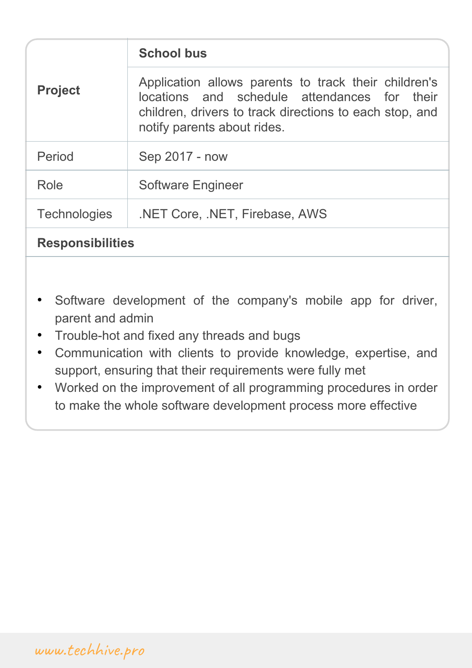| <b>Project</b>          | <b>School bus</b>                                                                                                                                                                              |
|-------------------------|------------------------------------------------------------------------------------------------------------------------------------------------------------------------------------------------|
|                         | Application allows parents to track their children's<br>locations and schedule attendances for their<br>children, drivers to track directions to each stop, and<br>notify parents about rides. |
| Period                  | Sep 2017 - now                                                                                                                                                                                 |
| Role                    | <b>Software Engineer</b>                                                                                                                                                                       |
| <b>Technologies</b>     | .NET Core, .NET, Firebase, AWS                                                                                                                                                                 |
| <b>Responsibilities</b> |                                                                                                                                                                                                |

- Software development of the company's mobile app for driver, parent and admin
- Trouble-hot and fixed any threads and bugs
- Communication with clients to provide knowledge, expertise, and support, ensuring that their requirements were fully met
- Worked on the improvement of all programming procedures in order to make the whole software development process more effective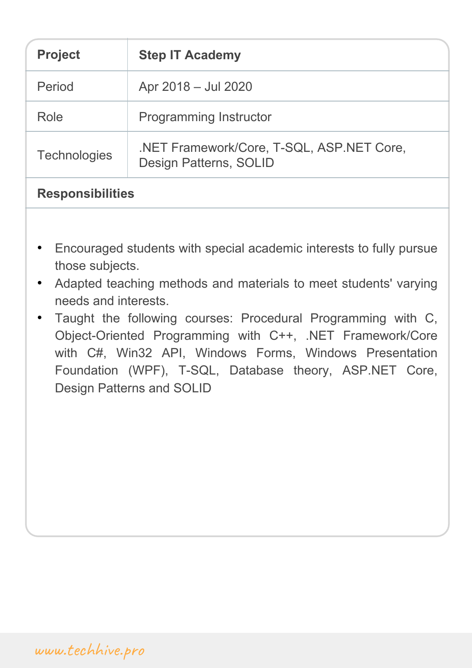| <b>Project</b>          | <b>Step IT Academy</b>                                              |
|-------------------------|---------------------------------------------------------------------|
| Period                  | Apr 2018 - Jul 2020                                                 |
| Role                    | <b>Programming Instructor</b>                                       |
| <b>Technologies</b>     | .NET Framework/Core, T-SQL, ASP.NET Core,<br>Design Patterns, SOLID |
| <b>Responsibilities</b> |                                                                     |

- Encouraged students with special academic interests to fully pursue those subjects.
- Adapted teaching methods and materials to meet students' varying needs and interests.
- Taught the following courses: Procedural Programming with C, Object-Oriented Programming with C++, .NET Framework/Core with C#, Win32 API, Windows Forms, Windows Presentation Foundation (WPF), T-SQL, Database theory, ASP.NET Core, Design Patterns and SOLID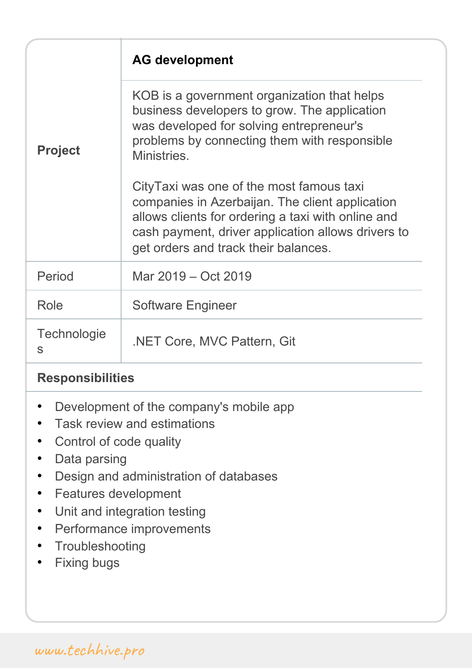| <b>Project</b>   | <b>AG development</b>                                                                                                                                                                                                                           |
|------------------|-------------------------------------------------------------------------------------------------------------------------------------------------------------------------------------------------------------------------------------------------|
|                  | KOB is a government organization that helps<br>business developers to grow. The application<br>was developed for solving entrepreneur's<br>problems by connecting them with responsible<br>Ministries.                                          |
|                  | CityTaxi was one of the most famous taxi<br>companies in Azerbaijan. The client application<br>allows clients for ordering a taxi with online and<br>cash payment, driver application allows drivers to<br>get orders and track their balances. |
| Period           | Mar 2019 – Oct 2019                                                                                                                                                                                                                             |
| Role             | <b>Software Engineer</b>                                                                                                                                                                                                                        |
| Technologie<br>S | .NET Core, MVC Pattern, Git                                                                                                                                                                                                                     |

#### **Responsibilities**

- Development of the company's mobile app
- Task review and estimations
- Control of code quality
- Data parsing
- Design and administration of databases
- Features development
- Unit and integration testing
- Performance improvements
- Troubleshooting
- Fixing bugs